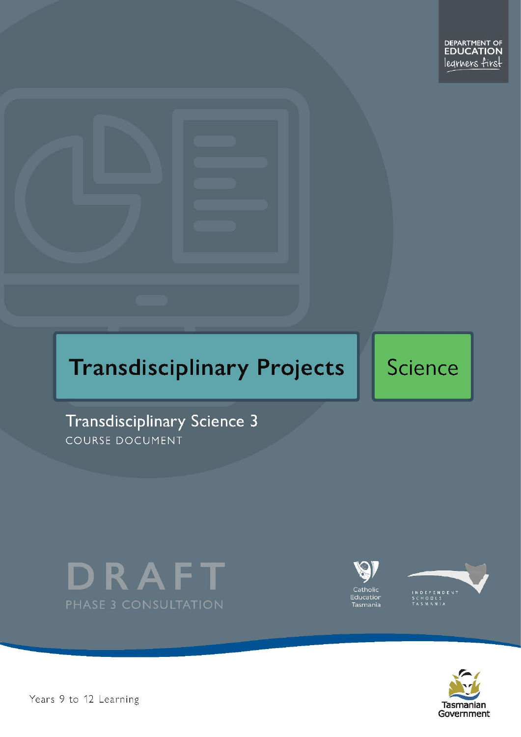# **Transdisciplinary Projects**

# Science

Transdisciplinary Science 3 COURSE DOCUMENT





Catholic Education Tasmania





Pears 9 to 12 Learning and the set of 2 Page 1 of 24 Page 1 of 24 Page 1 of 24 Page 1 of 24 Page 1 of 24 Page 1 of 24 Page 1 of 24 Page 1 of 24 Page 1 of 24 Page 1 of 24 Page 1 of 24 Page 1 of 24 Page 1 of 24 Page 1 of 24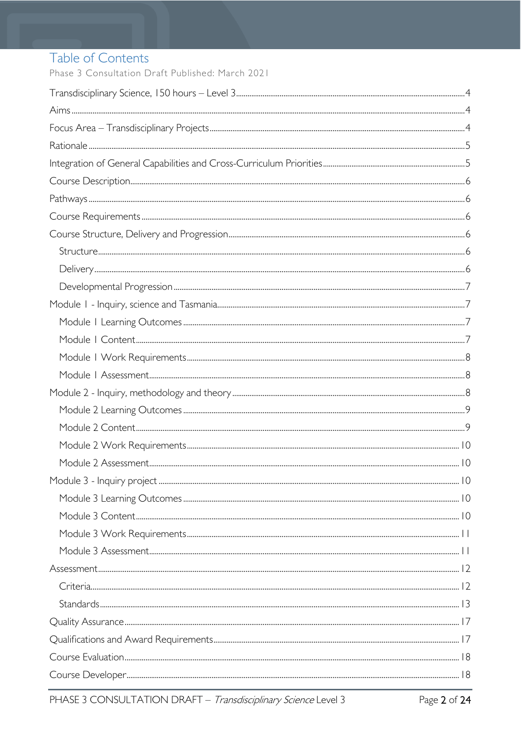# Table of Contents

Phase 3 Consultation Draft Published: March 2021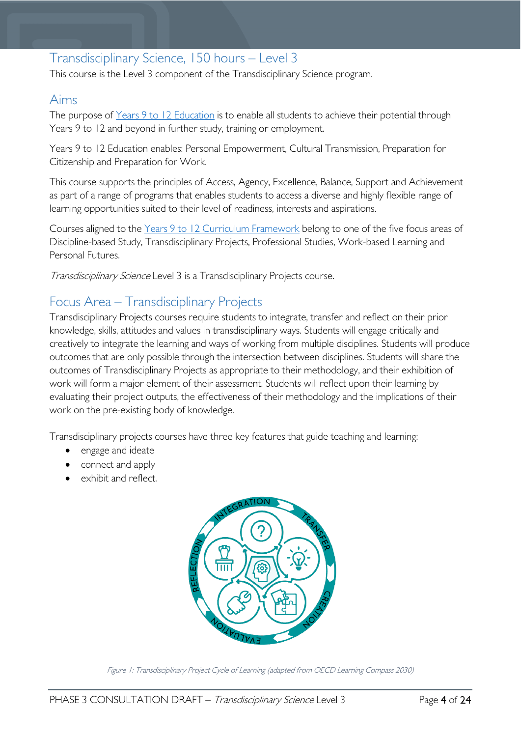# <span id="page-3-0"></span>Transdisciplinary Science, 150 hours – Level 3

This course is the Level 3 component of the Transdisciplinary Science program.

### <span id="page-3-1"></span>Aims

The purpose of Years 9 to 12 [Education](https://publicdocumentcentre.education.tas.gov.au/library/Shared%20Documents/Years-9-to-12-Education-Framework.pdf) is to enable all students to achieve their potential through Years 9 to 12 and beyond in further study, training or employment.

Years 9 to 12 Education enables: Personal Empowerment, Cultural Transmission, Preparation for Citizenship and Preparation for Work.

This course supports the principles of Access, Agency, Excellence, Balance, Support and Achievement as part of a range of programs that enables students to access a diverse and highly flexible range of learning opportunities suited to their level of readiness, interests and aspirations.

Courses aligned to the Years 9 to 12 Curriculum [Framework](https://publicdocumentcentre.education.tas.gov.au/library/Shared%20Documents/Education%209-12%20Frameworks%20A3%20WEB%20POSTER.pdf) belong to one of the five focus areas of Discipline-based Study, Transdisciplinary Projects, Professional Studies, Work-based Learning and Personal Futures.

Transdisciplinary Science Level 3 is a Transdisciplinary Projects course.

# <span id="page-3-2"></span>Focus Area – Transdisciplinary Projects

Transdisciplinary Projects courses require students to integrate, transfer and reflect on their prior knowledge, skills, attitudes and values in transdisciplinary ways. Students will engage critically and creatively to integrate the learning and ways of working from multiple disciplines. Students will produce outcomes that are only possible through the intersection between disciplines. Students will share the outcomes of Transdisciplinary Projects as appropriate to their methodology, and their exhibition of work will form a major element of their assessment. Students will reflect upon their learning by evaluating their project outputs, the effectiveness of their methodology and the implications of their work on the pre-existing body of knowledge.

Transdisciplinary projects courses have three key features that guide teaching and learning:

- engage and ideate
- connect and apply
- exhibit and reflect.



Figure 1: Transdisciplinary Project Cycle of Learning (adapted from OECD Learning Compass 2030)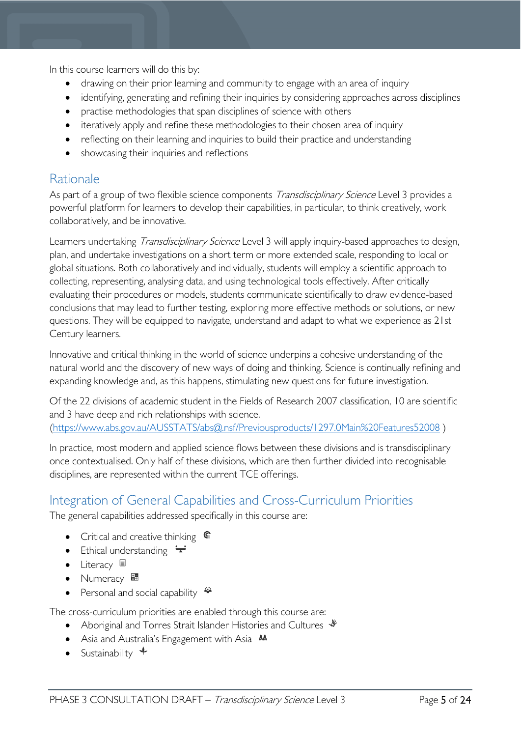In this course learners will do this by:

- drawing on their prior learning and community to engage with an area of inquiry
- identifying, generating and refining their inquiries by considering approaches across disciplines
- practise methodologies that span disciplines of science with others
- iteratively apply and refine these methodologies to their chosen area of inquiry
- reflecting on their learning and inquiries to build their practice and understanding
- showcasing their inquiries and reflections

### <span id="page-4-0"></span>**Rationale**

As part of a group of two flexible science components Transdisciplinary Science Level 3 provides a powerful platform for learners to develop their capabilities, in particular, to think creatively, work collaboratively, and be innovative.

Learners undertaking *Transdisciplinary Science* Level 3 will apply inquiry-based approaches to design, plan, and undertake investigations on a short term or more extended scale, responding to local or global situations. Both collaboratively and individually, students will employ a scientific approach to collecting, representing, analysing data, and using technological tools effectively. After critically evaluating their procedures or models, students communicate scientifically to draw evidence-based conclusions that may lead to further testing, exploring more effective methods or solutions, or new questions. They will be equipped to navigate, understand and adapt to what we experience as 21st Century learners.

Innovative and critical thinking in the world of science underpins a cohesive understanding of the natural world and the discovery of new ways of doing and thinking. Science is continually refining and expanding knowledge and, as this happens, stimulating new questions for future investigation.

Of the 22 divisions of academic student in the Fields of Research 2007 classification, 10 are scientific and 3 have deep and rich relationships with science. [\(https://www.abs.gov.au/AUSSTATS/abs@.nsf/Previousproducts/1297.0Main%20Features52008](https://www.abs.gov.au/AUSSTATS/abs@.nsf/Previousproducts/1297.0Main%20Features52008) )

In practice, most modern and applied science flows between these divisions and is transdisciplinary once contextualised. Only half of these divisions, which are then further divided into recognisable disciplines, are represented within the current TCE offerings.

## <span id="page-4-1"></span>Integration of General Capabilities and Cross-Curriculum Priorities

The general capabilities addressed specifically in this course are:

- Critical and creative thinking  $\mathbb{C}$
- Ethical understanding  $\div$
- Literacy  $\blacksquare$
- Numeracy  $\frac{1}{2}$
- Personal and social capability  $\ddot{\ddot{}}$

The cross-curriculum priorities are enabled through this course are:

- Aboriginal and Torres Strait Islander Histories and Cultures  $\mathcal V$
- Asia and Australia's Engagement with Asia **MA**
- Sustainability  $\triangleleft$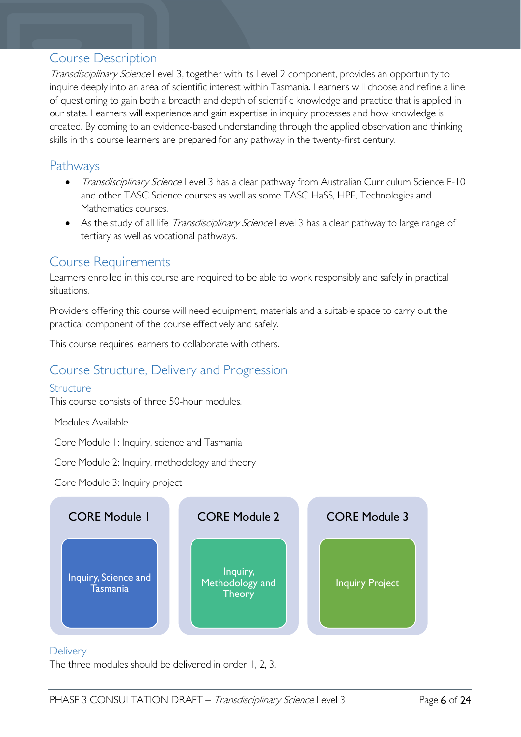### <span id="page-5-0"></span>Course Description

Transdisciplinary Science Level 3, together with its Level 2 component, provides an opportunity to inquire deeply into an area of scientific interest within Tasmania. Learners will choose and refine a line of questioning to gain both a breadth and depth of scientific knowledge and practice that is applied in our state. Learners will experience and gain expertise in inquiry processes and how knowledge is created. By coming to an evidence-based understanding through the applied observation and thinking skills in this course learners are prepared for any pathway in the twenty-first century.

### <span id="page-5-1"></span>Pathways

- Transdisciplinary Science Level 3 has a clear pathway from Australian Curriculum Science F-10 and other TASC Science courses as well as some TASC HaSS, HPE, Technologies and Mathematics courses.
- As the study of all life *Transdisciplinary Science* Level 3 has a clear pathway to large range of tertiary as well as vocational pathways.

### <span id="page-5-2"></span>Course Requirements

Learners enrolled in this course are required to be able to work responsibly and safely in practical situations.

Providers offering this course will need equipment, materials and a suitable space to carry out the practical component of the course effectively and safely.

This course requires learners to collaborate with others.

### <span id="page-5-3"></span>Course Structure, Delivery and Progression

#### <span id="page-5-4"></span>**Structure**

This course consists of three 50-hour modules.

Modules Available

Core Module 1: Inquiry, science and Tasmania

Core Module 2: Inquiry, methodology and theory

Core Module 3: Inquiry project



#### <span id="page-5-5"></span>**Delivery**

The three modules should be delivered in order 1, 2, 3.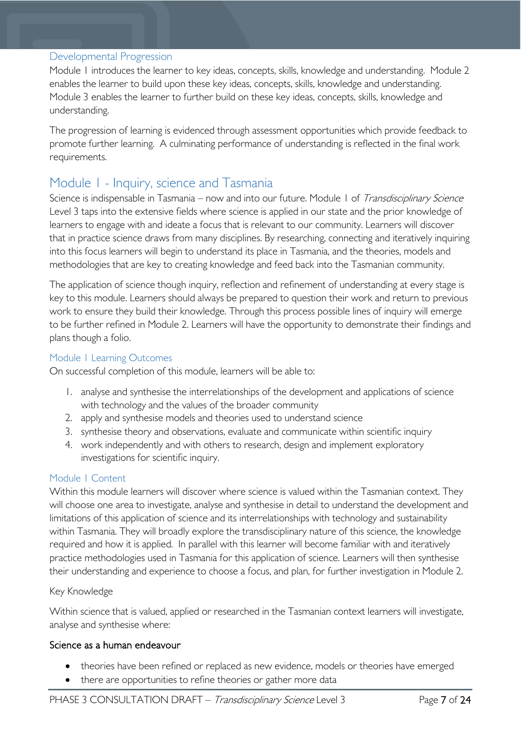#### <span id="page-6-0"></span>Developmental Progression

Module 1 introduces the learner to key ideas, concepts, skills, knowledge and understanding. Module 2 enables the learner to build upon these key ideas, concepts, skills, knowledge and understanding. Module 3 enables the learner to further build on these key ideas, concepts, skills, knowledge and understanding.

The progression of learning is evidenced through assessment opportunities which provide feedback to promote further learning. A culminating performance of understanding is reflected in the final work requirements.

### <span id="page-6-1"></span>Module 1 - Inquiry, science and Tasmania

Science is indispensable in Tasmania – now and into our future. Module 1 of Transdisciplinary Science Level 3 taps into the extensive fields where science is applied in our state and the prior knowledge of learners to engage with and ideate a focus that is relevant to our community. Learners will discover that in practice science draws from many disciplines. By researching, connecting and iteratively inquiring into this focus learners will begin to understand its place in Tasmania, and the theories, models and methodologies that are key to creating knowledge and feed back into the Tasmanian community.

The application of science though inquiry, reflection and refinement of understanding at every stage is key to this module. Learners should always be prepared to question their work and return to previous work to ensure they build their knowledge. Through this process possible lines of inquiry will emerge to be further refined in Module 2. Learners will have the opportunity to demonstrate their findings and plans though a folio.

#### <span id="page-6-2"></span>Module 1 Learning Outcomes

On successful completion of this module, learners will be able to:

- 1. analyse and synthesise the interrelationships of the development and applications of science with technology and the values of the broader community
- 2. apply and synthesise models and theories used to understand science
- 3. synthesise theory and observations, evaluate and communicate within scientific inquiry
- 4. work independently and with others to research, design and implement exploratory investigations for scientific inquiry.

#### <span id="page-6-3"></span>Module 1 Content

Within this module learners will discover where science is valued within the Tasmanian context. They will choose one area to investigate, analyse and synthesise in detail to understand the development and limitations of this application of science and its interrelationships with technology and sustainability within Tasmania. They will broadly explore the transdisciplinary nature of this science, the knowledge required and how it is applied. In parallel with this learner will become familiar with and iteratively practice methodologies used in Tasmania for this application of science. Learners will then synthesise their understanding and experience to choose a focus, and plan, for further investigation in Module 2.

#### Key Knowledge

Within science that is valued, applied or researched in the Tasmanian context learners will investigate, analyse and synthesise where:

#### Science as a human endeavour

- theories have been refined or replaced as new evidence, models or theories have emerged
- there are opportunities to refine theories or gather more data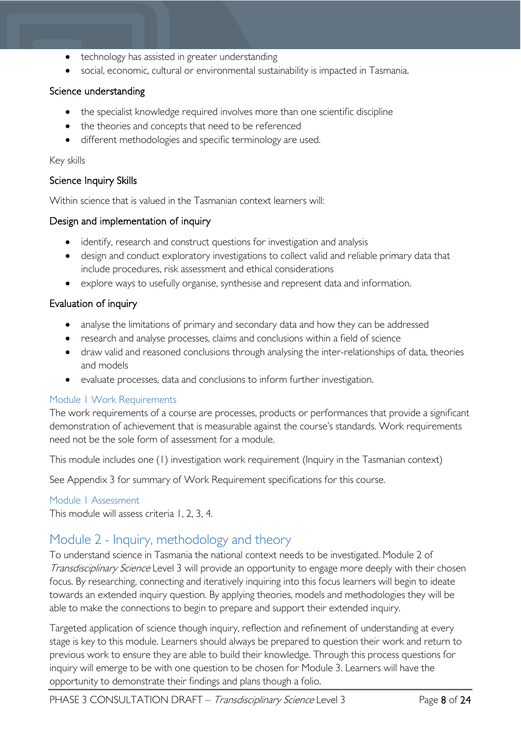- technology has assisted in greater understanding
- social, economic, cultural or environmental sustainability is impacted in Tasmania.

#### Science understanding

- the specialist knowledge required involves more than one scientific discipline
- the theories and concepts that need to be referenced
- different methodologies and specific terminology are used.

#### Key skills

#### Science Inquiry Skills

Within science that is valued in the Tasmanian context learners will:

#### Design and implementation of inquiry

- identify, research and construct questions for investigation and analysis
- design and conduct exploratory investigations to collect valid and reliable primary data that include procedures, risk assessment and ethical considerations
- explore ways to usefully organise, synthesise and represent data and information.

#### Evaluation of inquiry

- analyse the limitations of primary and secondary data and how they can be addressed
- research and analyse processes, claims and conclusions within a field of science
- draw valid and reasoned conclusions through analysing the inter-relationships of data, theories and models
- evaluate processes, data and conclusions to inform further investigation.

#### <span id="page-7-0"></span>Module 1 Work Requirements

The work requirements of a course are processes, products or performances that provide a significant demonstration of achievement that is measurable against the course's standards. Work requirements need not be the sole form of assessment for a module.

This module includes one (1) investigation work requirement (Inquiry in the Tasmanian context)

See Appendix 3 for summary of Work Requirement specifications for this course.

#### <span id="page-7-1"></span>Module 1 Assessment

This module will assess criteria 1, 2, 3, 4.

### <span id="page-7-2"></span>Module 2 - Inquiry, methodology and theory

To understand science in Tasmania the national context needs to be investigated. Module 2 of Transdisciplinary Science Level 3 will provide an opportunity to engage more deeply with their chosen focus. By researching, connecting and iteratively inquiring into this focus learners will begin to ideate towards an extended inquiry question. By applying theories, models and methodologies they will be able to make the connections to begin to prepare and support their extended inquiry.

Targeted application of science though inquiry, reflection and refinement of understanding at every stage is key to this module. Learners should always be prepared to question their work and return to previous work to ensure they are able to build their knowledge. Through this process questions for inquiry will emerge to be with one question to be chosen for Module 3. Learners will have the opportunity to demonstrate their findings and plans though a folio.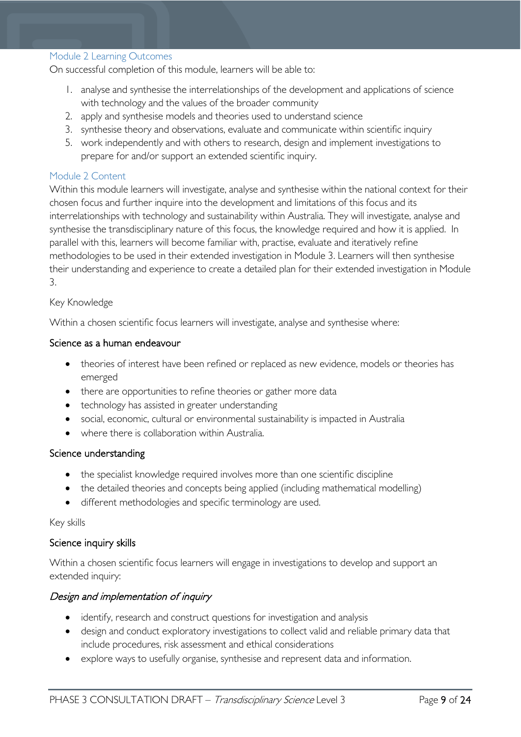#### <span id="page-8-0"></span>Module 2 Learning Outcomes

On successful completion of this module, learners will be able to:

- 1. analyse and synthesise the interrelationships of the development and applications of science with technology and the values of the broader community
- 2. apply and synthesise models and theories used to understand science
- 3. synthesise theory and observations, evaluate and communicate within scientific inquiry
- 5. work independently and with others to research, design and implement investigations to prepare for and/or support an extended scientific inquiry.

#### <span id="page-8-1"></span>Module 2 Content

Within this module learners will investigate, analyse and synthesise within the national context for their chosen focus and further inquire into the development and limitations of this focus and its interrelationships with technology and sustainability within Australia. They will investigate, analyse and synthesise the transdisciplinary nature of this focus, the knowledge required and how it is applied. In parallel with this, learners will become familiar with, practise, evaluate and iteratively refine methodologies to be used in their extended investigation in Module 3. Learners will then synthesise their understanding and experience to create a detailed plan for their extended investigation in Module 3.

#### Key Knowledge

Within a chosen scientific focus learners will investigate, analyse and synthesise where:

#### Science as a human endeavour

- theories of interest have been refined or replaced as new evidence, models or theories has emerged
- there are opportunities to refine theories or gather more data
- technology has assisted in greater understanding
- social, economic, cultural or environmental sustainability is impacted in Australia
- where there is collaboration within Australia.

#### Science understanding

- the specialist knowledge required involves more than one scientific discipline
- the detailed theories and concepts being applied (including mathematical modelling)
- different methodologies and specific terminology are used.

#### Key skills

#### Science inquiry skills

Within a chosen scientific focus learners will engage in investigations to develop and support an extended inquiry:

#### Design and implementation of inquiry

- identify, research and construct questions for investigation and analysis
- design and conduct exploratory investigations to collect valid and reliable primary data that include procedures, risk assessment and ethical considerations
- explore ways to usefully organise, synthesise and represent data and information.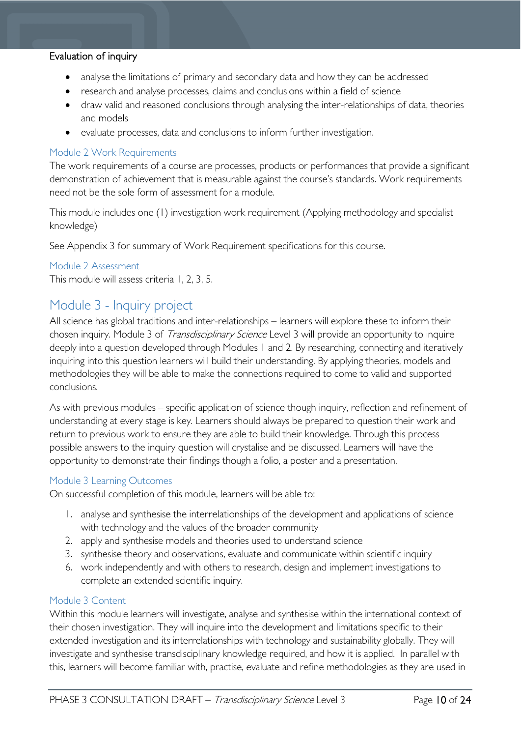#### Evaluation of inquiry

- analyse the limitations of primary and secondary data and how they can be addressed
- research and analyse processes, claims and conclusions within a field of science
- draw valid and reasoned conclusions through analysing the inter-relationships of data, theories and models
- evaluate processes, data and conclusions to inform further investigation.

#### <span id="page-9-0"></span>Module 2 Work Requirements

The work requirements of a course are processes, products or performances that provide a significant demonstration of achievement that is measurable against the course's standards. Work requirements need not be the sole form of assessment for a module.

This module includes one (1) investigation work requirement (Applying methodology and specialist knowledge)

See Appendix 3 for summary of Work Requirement specifications for this course.

#### <span id="page-9-1"></span>Module 2 Assessment

This module will assess criteria 1, 2, 3, 5.

### <span id="page-9-2"></span>Module 3 - Inquiry project

All science has global traditions and inter-relationships – learners will explore these to inform their chosen inquiry. Module 3 of *Transdisciplinary Science* Level 3 will provide an opportunity to inquire deeply into a question developed through Modules 1 and 2. By researching, connecting and iteratively inquiring into this question learners will build their understanding. By applying theories, models and methodologies they will be able to make the connections required to come to valid and supported conclusions.

As with previous modules – specific application of science though inquiry, reflection and refinement of understanding at every stage is key. Learners should always be prepared to question their work and return to previous work to ensure they are able to build their knowledge. Through this process possible answers to the inquiry question will crystalise and be discussed. Learners will have the opportunity to demonstrate their findings though a folio, a poster and a presentation.

#### <span id="page-9-3"></span>Module 3 Learning Outcomes

On successful completion of this module, learners will be able to:

- 1. analyse and synthesise the interrelationships of the development and applications of science with technology and the values of the broader community
- 2. apply and synthesise models and theories used to understand science
- 3. synthesise theory and observations, evaluate and communicate within scientific inquiry
- 6. work independently and with others to research, design and implement investigations to complete an extended scientific inquiry.

#### <span id="page-9-4"></span>Module 3 Content

Within this module learners will investigate, analyse and synthesise within the international context of their chosen investigation. They will inquire into the development and limitations specific to their extended investigation and its interrelationships with technology and sustainability globally. They will investigate and synthesise transdisciplinary knowledge required, and how it is applied. In parallel with this, learners will become familiar with, practise, evaluate and refine methodologies as they are used in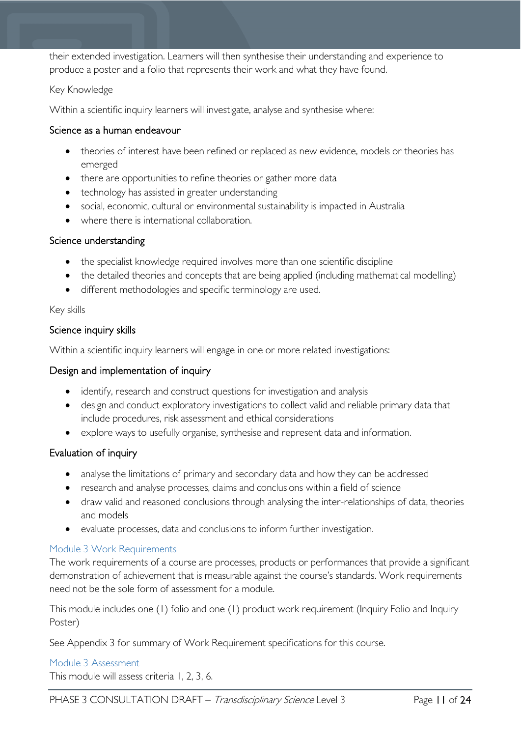their extended investigation. Learners will then synthesise their understanding and experience to produce a poster and a folio that represents their work and what they have found.

#### Key Knowledge

Within a scientific inquiry learners will investigate, analyse and synthesise where:

#### Science as a human endeavour

- theories of interest have been refined or replaced as new evidence, models or theories has emerged
- there are opportunities to refine theories or gather more data
- technology has assisted in greater understanding
- social, economic, cultural or environmental sustainability is impacted in Australia
- where there is international collaboration.

#### Science understanding

- the specialist knowledge required involves more than one scientific discipline
- the detailed theories and concepts that are being applied (including mathematical modelling)
- different methodologies and specific terminology are used.

#### Key skills

#### Science inquiry skills

Within a scientific inquiry learners will engage in one or more related investigations:

#### Design and implementation of inquiry

- identify, research and construct questions for investigation and analysis
- design and conduct exploratory investigations to collect valid and reliable primary data that include procedures, risk assessment and ethical considerations
- explore ways to usefully organise, synthesise and represent data and information.

#### Evaluation of inquiry

- analyse the limitations of primary and secondary data and how they can be addressed
- research and analyse processes, claims and conclusions within a field of science
- draw valid and reasoned conclusions through analysing the inter-relationships of data, theories and models
- evaluate processes, data and conclusions to inform further investigation.

#### <span id="page-10-0"></span>Module 3 Work Requirements

The work requirements of a course are processes, products or performances that provide a significant demonstration of achievement that is measurable against the course's standards. Work requirements need not be the sole form of assessment for a module.

This module includes one (1) folio and one (1) product work requirement (Inquiry Folio and Inquiry Poster)

See Appendix 3 for summary of Work Requirement specifications for this course.

#### <span id="page-10-1"></span>Module 3 Assessment

This module will assess criteria 1, 2, 3, 6.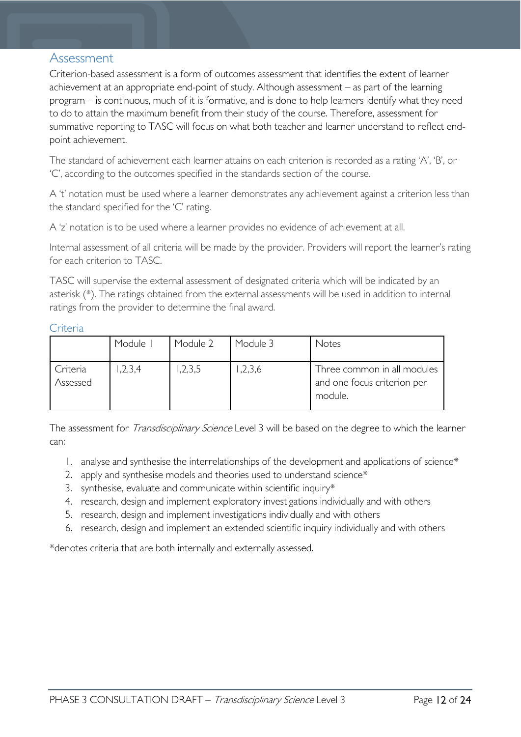### <span id="page-11-0"></span>Assessment

Criterion-based assessment is a form of outcomes assessment that identifies the extent of learner achievement at an appropriate end-point of study. Although assessment – as part of the learning program – is continuous, much of it is formative, and is done to help learners identify what they need to do to attain the maximum benefit from their study of the course. Therefore, assessment for summative reporting to TASC will focus on what both teacher and learner understand to reflect endpoint achievement.

The standard of achievement each learner attains on each criterion is recorded as a rating 'A', 'B', or 'C', according to the outcomes specified in the standards section of the course.

A 't' notation must be used where a learner demonstrates any achievement against a criterion less than the standard specified for the 'C' rating.

A 'z' notation is to be used where a learner provides no evidence of achievement at all.

Internal assessment of all criteria will be made by the provider. Providers will report the learner's rating for each criterion to TASC.

TASC will supervise the external assessment of designated criteria which will be indicated by an asterisk (\*). The ratings obtained from the external assessments will be used in addition to internal ratings from the provider to determine the final award.

<span id="page-11-1"></span>**Criteria** 

|                      | Module I | Module 2 | Module 3 | Notes                                                                 |
|----------------------|----------|----------|----------|-----------------------------------------------------------------------|
| Criteria<br>Assessed | ,2,3,4   | ,2,3,5   | 1,2,3,6  | Three common in all modules<br>and one focus criterion per<br>module. |

The assessment for *Transdisciplinary Science* Level 3 will be based on the degree to which the learner can:

- 1. analyse and synthesise the interrelationships of the development and applications of science\*
- 2. apply and synthesise models and theories used to understand science\*
- 3. synthesise, evaluate and communicate within scientific inquiry\*
- 4. research, design and implement exploratory investigations individually and with others
- 5. research, design and implement investigations individually and with others
- 6. research, design and implement an extended scientific inquiry individually and with others

\*denotes criteria that are both internally and externally assessed.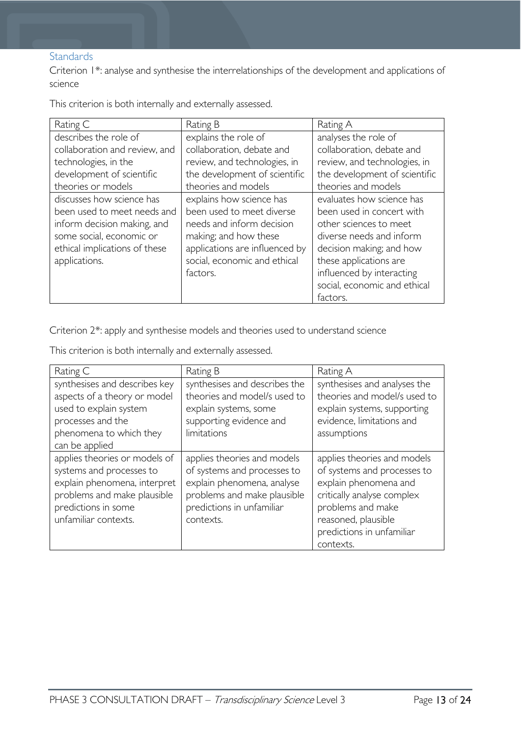#### <span id="page-12-0"></span>**Standards**

Criterion 1\*: analyse and synthesise the interrelationships of the development and applications of science

This criterion is both internally and externally assessed.

| Rating C                      | Rating B                       | Rating A                      |
|-------------------------------|--------------------------------|-------------------------------|
| describes the role of         | explains the role of           | analyses the role of          |
| collaboration and review, and | collaboration, debate and      | collaboration, debate and     |
| technologies, in the          | review, and technologies, in   | review, and technologies, in  |
| development of scientific     | the development of scientific  | the development of scientific |
| theories or models            | theories and models            | theories and models           |
| discusses how science has     | explains how science has       | evaluates how science has     |
| been used to meet needs and   | been used to meet diverse      | been used in concert with     |
| inform decision making, and   | needs and inform decision      | other sciences to meet        |
| some social, economic or      | making; and how these          | diverse needs and inform      |
| ethical implications of these | applications are influenced by | decision making; and how      |
| applications.                 | social, economic and ethical   | these applications are        |
|                               | factors.                       | influenced by interacting     |
|                               |                                | social, economic and ethical  |
|                               |                                | factors.                      |

Criterion 2\*: apply and synthesise models and theories used to understand science

|  |  |  | This criterion is both internally and externally assessed. |
|--|--|--|------------------------------------------------------------|
|  |  |  |                                                            |

| Rating C                                                                                                                                                                | Rating B                                                                                                                                                          | Rating A                                                                                                                                                                                                |
|-------------------------------------------------------------------------------------------------------------------------------------------------------------------------|-------------------------------------------------------------------------------------------------------------------------------------------------------------------|---------------------------------------------------------------------------------------------------------------------------------------------------------------------------------------------------------|
| synthesises and describes key<br>aspects of a theory or model<br>used to explain system<br>processes and the<br>phenomena to which they<br>can be applied               | synthesises and describes the<br>theories and model/s used to<br>explain systems, some<br>supporting evidence and<br>limitations                                  | synthesises and analyses the<br>theories and model/s used to<br>explain systems, supporting<br>evidence, limitations and<br>assumptions                                                                 |
| applies theories or models of<br>systems and processes to<br>explain phenomena, interpret<br>problems and make plausible<br>predictions in some<br>unfamiliar contexts. | applies theories and models<br>of systems and processes to<br>explain phenomena, analyse<br>problems and make plausible<br>predictions in unfamiliar<br>contexts. | applies theories and models<br>of systems and processes to<br>explain phenomena and<br>critically analyse complex<br>problems and make<br>reasoned, plausible<br>predictions in unfamiliar<br>contexts. |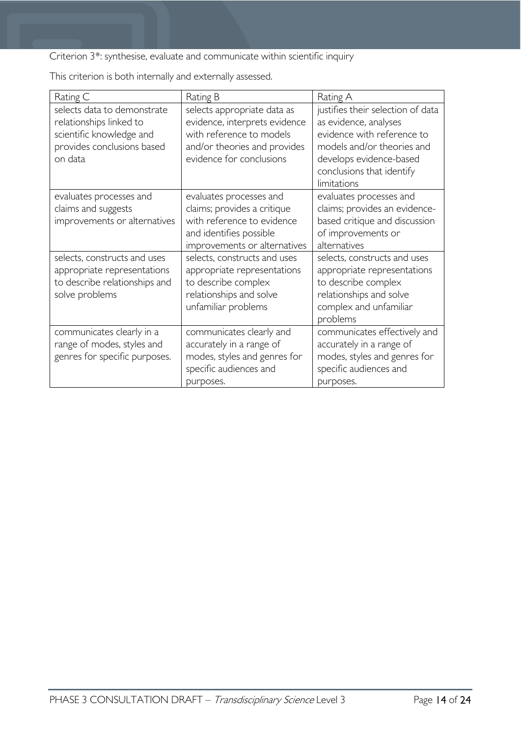Criterion 3\*: synthesise, evaluate and communicate within scientific inquiry

Rating C Rating B Rating A selects data to demonstrate relationships linked to scientific knowledge and provides conclusions based on data selects appropriate data as evidence, interprets evidence with reference to models and/or theories and provides evidence for conclusions justifies their selection of data as evidence, analyses evidence with reference to models and/or theories and develops evidence-based conclusions that identify limitations evaluates processes and claims and suggests improvements or alternatives evaluates processes and claims; provides a critique with reference to evidence and identifies possible improvements or alternatives evaluates processes and claims; provides an evidencebased critique and discussion of improvements or alternatives selects, constructs and uses appropriate representations to describe relationships and solve problems selects, constructs and uses appropriate representations to describe complex relationships and solve unfamiliar problems selects, constructs and uses appropriate representations to describe complex relationships and solve complex and unfamiliar problems communicates clearly in a range of modes, styles and genres for specific purposes. communicates clearly and accurately in a range of modes, styles and genres for specific audiences and purposes. communicates effectively and accurately in a range of modes, styles and genres for specific audiences and purposes.

This criterion is both internally and externally assessed.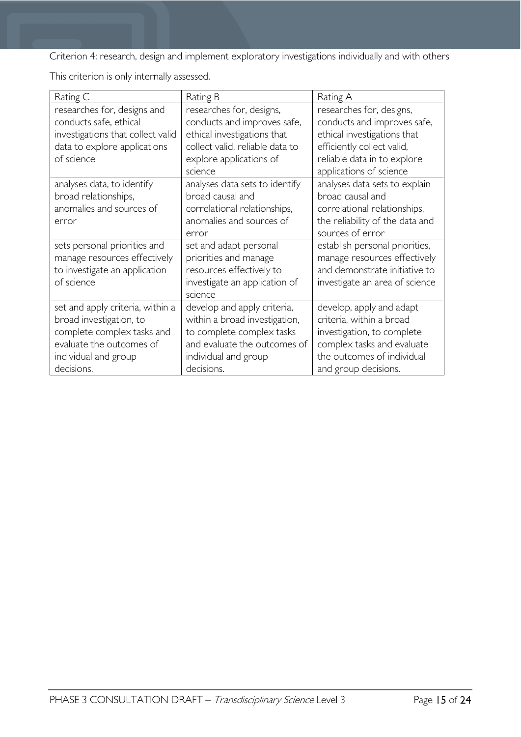Criterion 4: research, design and implement exploratory investigations individually and with others

This criterion is only internally assessed.

| Rating C                                                                                                                                                    | Rating B                                                                                                                                                        | Rating A                                                                                                                                                               |
|-------------------------------------------------------------------------------------------------------------------------------------------------------------|-----------------------------------------------------------------------------------------------------------------------------------------------------------------|------------------------------------------------------------------------------------------------------------------------------------------------------------------------|
| researches for, designs and<br>conducts safe, ethical<br>investigations that collect valid                                                                  | researches for, designs,<br>conducts and improves safe,<br>ethical investigations that                                                                          | researches for, designs,<br>conducts and improves safe,<br>ethical investigations that                                                                                 |
| data to explore applications<br>of science                                                                                                                  | collect valid, reliable data to<br>explore applications of<br>science                                                                                           | efficiently collect valid,<br>reliable data in to explore<br>applications of science                                                                                   |
| analyses data, to identify<br>broad relationships,<br>anomalies and sources of<br>error                                                                     | analyses data sets to identify<br>broad causal and<br>correlational relationships,<br>anomalies and sources of<br>error                                         | analyses data sets to explain<br>broad causal and<br>correlational relationships,<br>the reliability of the data and<br>sources of error                               |
| sets personal priorities and<br>manage resources effectively<br>to investigate an application<br>of science                                                 | set and adapt personal<br>priorities and manage<br>resources effectively to<br>investigate an application of<br>science                                         | establish personal priorities,<br>manage resources effectively<br>and demonstrate initiative to<br>investigate an area of science                                      |
| set and apply criteria, within a<br>broad investigation, to<br>complete complex tasks and<br>evaluate the outcomes of<br>individual and group<br>decisions. | develop and apply criteria,<br>within a broad investigation,<br>to complete complex tasks<br>and evaluate the outcomes of<br>individual and group<br>decisions. | develop, apply and adapt<br>criteria, within a broad<br>investigation, to complete<br>complex tasks and evaluate<br>the outcomes of individual<br>and group decisions. |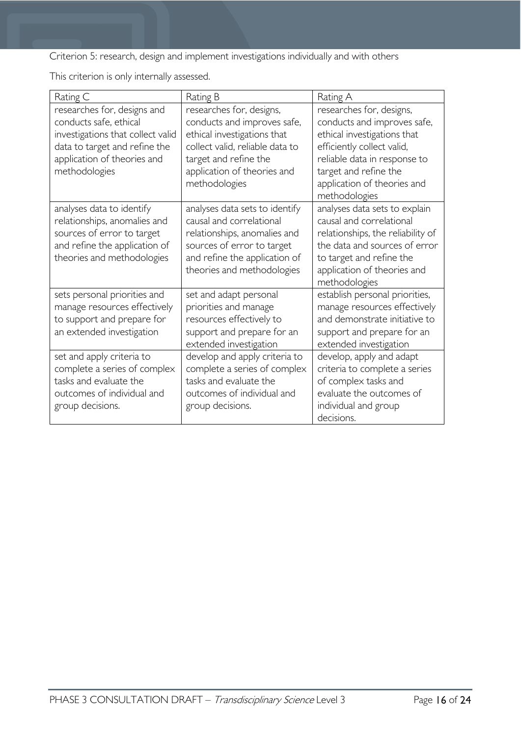Criterion 5: research, design and implement investigations individually and with others

This criterion is only internally assessed.

| Rating C                                                                                                                                                                    | Rating B                                                                                                                                                                                           | Rating A                                                                                                                                                                                                                      |
|-----------------------------------------------------------------------------------------------------------------------------------------------------------------------------|----------------------------------------------------------------------------------------------------------------------------------------------------------------------------------------------------|-------------------------------------------------------------------------------------------------------------------------------------------------------------------------------------------------------------------------------|
| researches for, designs and<br>conducts safe, ethical<br>investigations that collect valid<br>data to target and refine the<br>application of theories and<br>methodologies | researches for, designs,<br>conducts and improves safe,<br>ethical investigations that<br>collect valid, reliable data to<br>target and refine the<br>application of theories and<br>methodologies | researches for, designs,<br>conducts and improves safe,<br>ethical investigations that<br>efficiently collect valid,<br>reliable data in response to<br>target and refine the<br>application of theories and<br>methodologies |
| analyses data to identify<br>relationships, anomalies and<br>sources of error to target<br>and refine the application of<br>theories and methodologies                      | analyses data sets to identify<br>causal and correlational<br>relationships, anomalies and<br>sources of error to target<br>and refine the application of<br>theories and methodologies            | analyses data sets to explain<br>causal and correlational<br>relationships, the reliability of<br>the data and sources of error<br>to target and refine the<br>application of theories and<br>methodologies                   |
| sets personal priorities and<br>manage resources effectively<br>to support and prepare for<br>an extended investigation                                                     | set and adapt personal<br>priorities and manage<br>resources effectively to<br>support and prepare for an<br>extended investigation                                                                | establish personal priorities,<br>manage resources effectively<br>and demonstrate initiative to<br>support and prepare for an<br>extended investigation                                                                       |
| set and apply criteria to<br>complete a series of complex<br>tasks and evaluate the<br>outcomes of individual and<br>group decisions.                                       | develop and apply criteria to<br>complete a series of complex<br>tasks and evaluate the<br>outcomes of individual and<br>group decisions.                                                          | develop, apply and adapt<br>criteria to complete a series<br>of complex tasks and<br>evaluate the outcomes of<br>individual and group<br>decisions.                                                                           |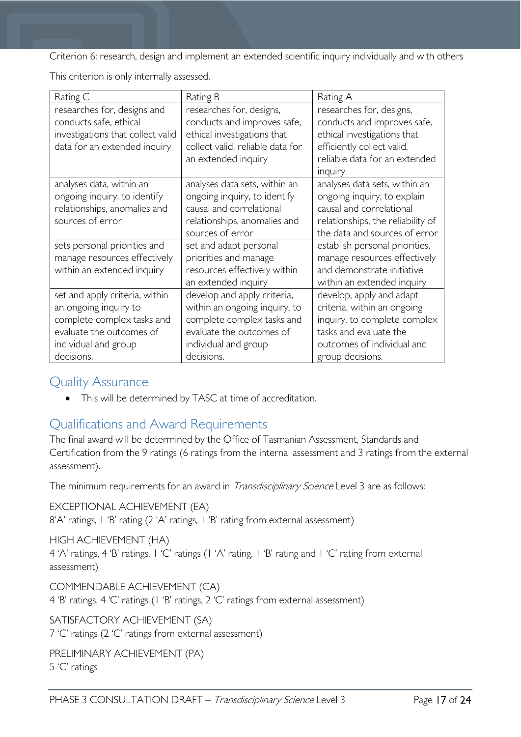Criterion 6: research, design and implement an extended scientific inquiry individually and with others

This criterion is only internally assessed.

| Rating C                                                                                                                                                | Rating B                                                                                                                                                     | Rating A                                                                                                                                                            |
|---------------------------------------------------------------------------------------------------------------------------------------------------------|--------------------------------------------------------------------------------------------------------------------------------------------------------------|---------------------------------------------------------------------------------------------------------------------------------------------------------------------|
| researches for, designs and<br>conducts safe, ethical<br>investigations that collect valid<br>data for an extended inquiry                              | researches for, designs,<br>conducts and improves safe,<br>ethical investigations that<br>collect valid, reliable data for<br>an extended inquiry            | researches for, designs,<br>conducts and improves safe,<br>ethical investigations that<br>efficiently collect valid,<br>reliable data for an extended<br>inquiry    |
| analyses data, within an<br>ongoing inquiry, to identify<br>relationships, anomalies and<br>sources of error                                            | analyses data sets, within an<br>ongoing inquiry, to identify<br>causal and correlational<br>relationships, anomalies and<br>sources of error                | analyses data sets, within an<br>ongoing inquiry, to explain<br>causal and correlational<br>relationships, the reliability of<br>the data and sources of error      |
| sets personal priorities and<br>manage resources effectively<br>within an extended inquiry                                                              | set and adapt personal<br>priorities and manage<br>resources effectively within<br>an extended inquiry                                                       | establish personal priorities,<br>manage resources effectively<br>and demonstrate initiative<br>within an extended inquiry                                          |
| set and apply criteria, within<br>an ongoing inquiry to<br>complete complex tasks and<br>evaluate the outcomes of<br>individual and group<br>decisions. | develop and apply criteria,<br>within an ongoing inquiry, to<br>complete complex tasks and<br>evaluate the outcomes of<br>individual and group<br>decisions. | develop, apply and adapt<br>criteria, within an ongoing<br>inquiry, to complete complex<br>tasks and evaluate the<br>outcomes of individual and<br>group decisions. |

### <span id="page-16-0"></span>Quality Assurance

• This will be determined by TASC at time of accreditation.

## <span id="page-16-1"></span>Qualifications and Award Requirements

The final award will be determined by the Office of Tasmanian Assessment, Standards and Certification from the 9 ratings (6 ratings from the internal assessment and 3 ratings from the external assessment).

The minimum requirements for an award in *Transdisciplinary Science* Level 3 are as follows:

EXCEPTIONAL ACHIEVEMENT (EA) 8'A' ratings, 1 'B' rating (2 'A' ratings, 1 'B' rating from external assessment)

HIGH ACHIEVEMENT (HA) 4 'A' ratings, 4 'B' ratings, 1 'C' ratings (1 'A' rating, 1 'B' rating and 1 'C' rating from external assessment)

COMMENDABLE ACHIEVEMENT (CA) 4 'B' ratings, 4 'C' ratings (1 'B' ratings, 2 'C' ratings from external assessment)

SATISFACTORY ACHIEVEMENT (SA) 7 'C' ratings (2 'C' ratings from external assessment)

PRELIMINARY ACHIEVEMENT (PA) 5 'C' ratings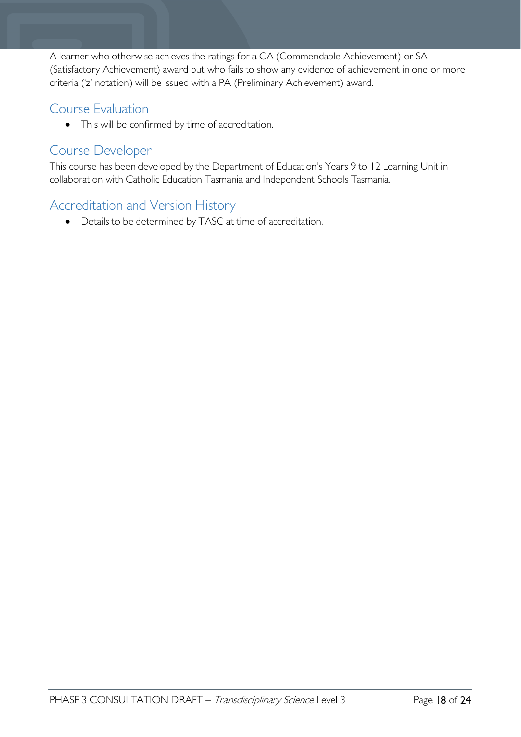A learner who otherwise achieves the ratings for a CA (Commendable Achievement) or SA (Satisfactory Achievement) award but who fails to show any evidence of achievement in one or more criteria ('z' notation) will be issued with a PA (Preliminary Achievement) award.

# <span id="page-17-0"></span>Course Evaluation

• This will be confirmed by time of accreditation.

### <span id="page-17-1"></span>Course Developer

This course has been developed by the Department of Education's Years 9 to 12 Learning Unit in collaboration with Catholic Education Tasmania and Independent Schools Tasmania.

# <span id="page-17-2"></span>Accreditation and Version History

• Details to be determined by TASC at time of accreditation.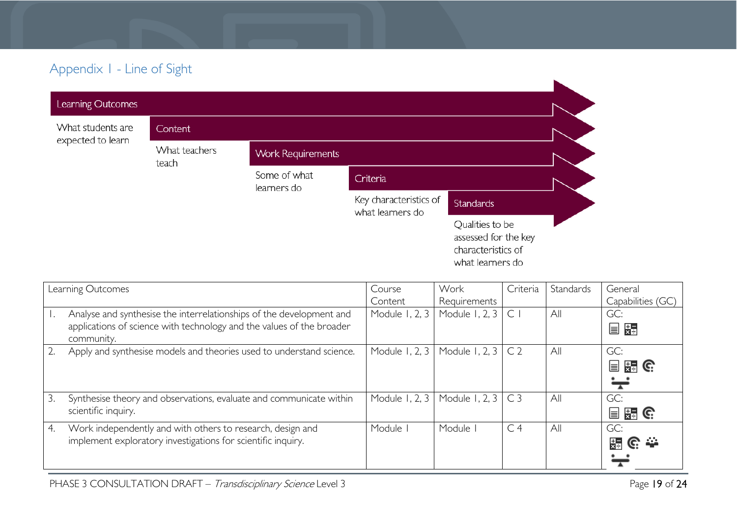# Appendix 1 - Line of Sight

| Learning Outcomes                      |                        |                             |                                            |                                                                                   |  |
|----------------------------------------|------------------------|-----------------------------|--------------------------------------------|-----------------------------------------------------------------------------------|--|
| What students are<br>expected to learn | <b>Content</b>         |                             |                                            |                                                                                   |  |
|                                        | What teachers<br>teach | <b>Work Requirements</b>    |                                            |                                                                                   |  |
|                                        |                        | Some of what<br>learners do | Criteria                                   |                                                                                   |  |
|                                        |                        |                             | Key characteristics of<br>what learners do | <b>Standards</b>                                                                  |  |
|                                        |                        |                             |                                            | Qualities to be<br>assessed for the key<br>characteristics of<br>what learners do |  |

<span id="page-18-0"></span>

| Learning Outcomes |                                                                                                                                               | Course         | Work                     | Criteria       | Standards | General              |
|-------------------|-----------------------------------------------------------------------------------------------------------------------------------------------|----------------|--------------------------|----------------|-----------|----------------------|
|                   |                                                                                                                                               | Content        | Requirements             |                |           | Capabilities (GC)    |
|                   | Analyse and synthesise the interrelationships of the development and<br>applications of science with technology and the values of the broader | Module 1, 2, 3 | Module 1, 2, 3           | $\mathsf{C}$   | All       | GC:<br>目頭            |
|                   | community.                                                                                                                                    |                |                          |                |           |                      |
|                   | Apply and synthesise models and theories used to understand science.                                                                          | Module 1, 2, 3 | Module 1, 2, $3 \mid C2$ |                | All       | GC:                  |
|                   |                                                                                                                                               |                |                          |                |           | 目語(                  |
|                   |                                                                                                                                               |                |                          |                |           | ∺                    |
| 3.                | Synthesise theory and observations, evaluate and communicate within                                                                           | Module 1, 2, 3 | Module 1, 2, $3 \mid C3$ |                | All       | GC:                  |
|                   | scientific inquiry.                                                                                                                           |                |                          |                |           | ା <u>ଅ</u> ⊒ G:<br>冒 |
| 4.                | Work independently and with others to research, design and                                                                                    | Module         | Module                   | C <sub>4</sub> | All       | GC:                  |
|                   | implement exploratory investigations for scientific inquiry.                                                                                  |                |                          |                |           | 器でき                  |
|                   |                                                                                                                                               |                |                          |                |           |                      |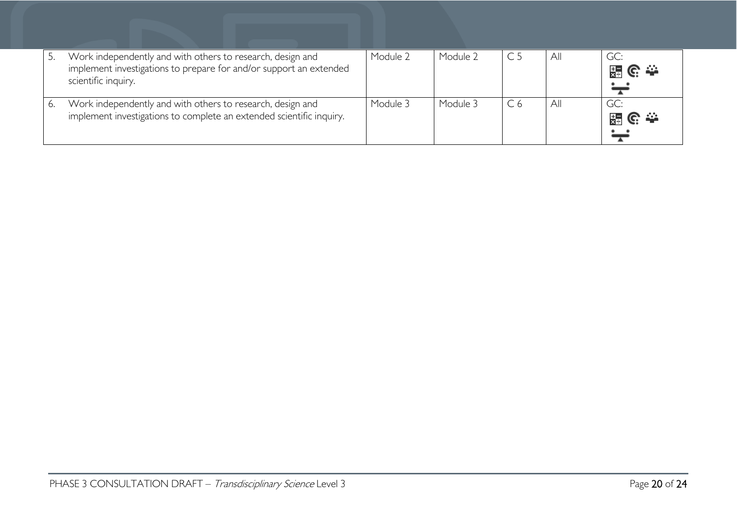|    | Work independently and with others to research, design and<br>implement investigations to prepare for and/or support an extended<br>scientific inquiry. | Module 2 | Module 2 | All | GC:<br>၉ ≏<br>묺  |
|----|---------------------------------------------------------------------------------------------------------------------------------------------------------|----------|----------|-----|------------------|
| 6. | Work independently and with others to research, design and<br>implement investigations to complete an extended scientific inquiry.                      | Module 3 | Module 3 | All | GC:<br>၉ ≏<br>믔급 |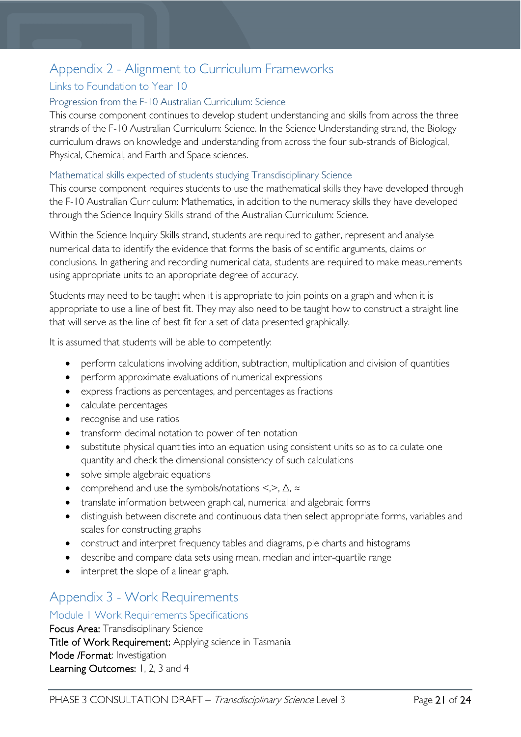# <span id="page-20-0"></span>Appendix 2 - Alignment to Curriculum Frameworks

### <span id="page-20-1"></span>Links to Foundation to Year 10

#### <span id="page-20-2"></span>Progression from the F-10 Australian Curriculum: Science

This course component continues to develop student understanding and skills from across the three strands of the F-10 Australian Curriculum: Science. In the Science Understanding strand, the Biology curriculum draws on knowledge and understanding from across the four sub-strands of Biological, Physical, Chemical, and Earth and Space sciences.

#### <span id="page-20-3"></span>Mathematical skills expected of students studying Transdisciplinary Science

This course component requires students to use the mathematical skills they have developed through the F-10 Australian Curriculum: Mathematics, in addition to the numeracy skills they have developed through the Science Inquiry Skills strand of the Australian Curriculum: Science.

Within the Science Inquiry Skills strand, students are required to gather, represent and analyse numerical data to identify the evidence that forms the basis of scientific arguments, claims or conclusions. In gathering and recording numerical data, students are required to make measurements using appropriate units to an appropriate degree of accuracy.

Students may need to be taught when it is appropriate to join points on a graph and when it is appropriate to use a line of best fit. They may also need to be taught how to construct a straight line that will serve as the line of best fit for a set of data presented graphically.

It is assumed that students will be able to competently:

- perform calculations involving addition, subtraction, multiplication and division of quantities
- perform approximate evaluations of numerical expressions
- express fractions as percentages, and percentages as fractions
- calculate percentages
- recognise and use ratios
- transform decimal notation to power of ten notation
- substitute physical quantities into an equation using consistent units so as to calculate one quantity and check the dimensional consistency of such calculations
- solve simple algebraic equations
- comprehend and use the symbols/notations <,>, ∆, ≈
- translate information between graphical, numerical and algebraic forms
- distinguish between discrete and continuous data then select appropriate forms, variables and scales for constructing graphs
- construct and interpret frequency tables and diagrams, pie charts and histograms
- describe and compare data sets using mean, median and inter-quartile range
- interpret the slope of a linear graph.

# <span id="page-20-4"></span>Appendix 3 - Work Requirements

#### <span id="page-20-5"></span>Module 1 Work Requirements Specifications

Focus Area: Transdisciplinary Science Title of Work Requirement: Applying science in Tasmania Mode /Format: Investigation Learning Outcomes: 1, 2, 3 and 4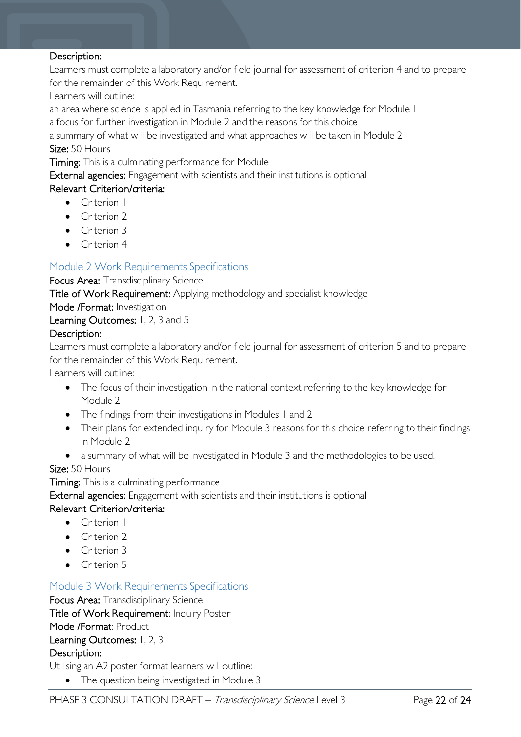#### Description:

Learners must complete a laboratory and/or field journal for assessment of criterion 4 and to prepare for the remainder of this Work Requirement.

Learners will outline:

an area where science is applied in Tasmania referring to the key knowledge for Module 1

a focus for further investigation in Module 2 and the reasons for this choice

a summary of what will be investigated and what approaches will be taken in Module 2 Size: 50 Hours

Timing: This is a culminating performance for Module 1

External agencies: Engagement with scientists and their institutions is optional

#### Relevant Criterion/criteria:

- Criterion I
- Criterion 2
- Criterion 3
- Criterion 4

### <span id="page-21-0"></span>Module 2 Work Requirements Specifications

Focus Area: Transdisciplinary Science

Title of Work Requirement: Applying methodology and specialist knowledge

Mode /Format: Investigation

Learning Outcomes: 1, 2, 3 and 5

#### Description:

Learners must complete a laboratory and/or field journal for assessment of criterion 5 and to prepare for the remainder of this Work Requirement.

Learners will outline:

- The focus of their investigation in the national context referring to the key knowledge for Module 2
- The findings from their investigations in Modules 1 and 2
- Their plans for extended inquiry for Module 3 reasons for this choice referring to their findings in Module 2
- a summary of what will be investigated in Module 3 and the methodologies to be used.

#### Size: 50 Hours

Timing: This is a culminating performance

External agencies: Engagement with scientists and their institutions is optional

#### Relevant Criterion/criteria:

- Criterion 1
- Criterion 2
- Criterion 3
- Criterion 5

#### <span id="page-21-1"></span>Module 3 Work Requirements Specifications

Focus Area: Transdisciplinary Science Title of Work Requirement: Inquiry Poster Mode /Format: Product Learning Outcomes: 1, 2, 3 Description:

Utilising an A2 poster format learners will outline:

• The question being investigated in Module 3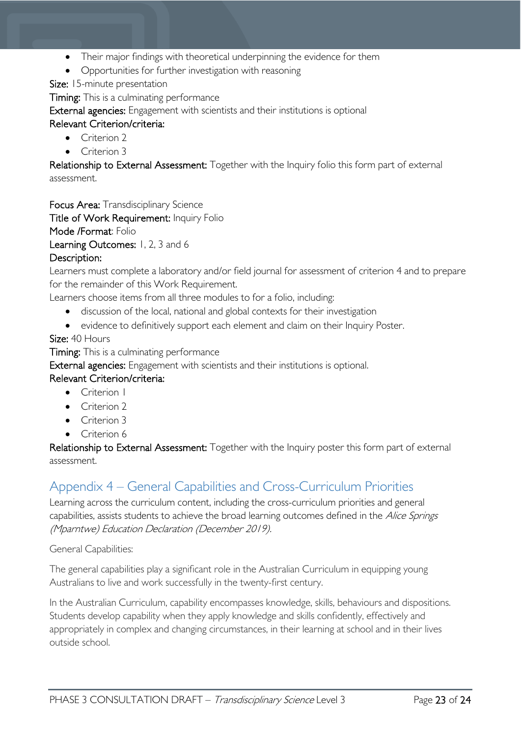- Their major findings with theoretical underpinning the evidence for them
- Opportunities for further investigation with reasoning

Size: 15-minute presentation

Timing: This is a culminating performance

External agencies: Engagement with scientists and their institutions is optional

### Relevant Criterion/criteria:

- Criterion 2
- Criterion 3

Relationship to External Assessment: Together with the Inquiry folio this form part of external assessment.

Focus Area: Transdisciplinary Science

Title of Work Requirement: Inquiry Folio

Mode /Format: Folio

Learning Outcomes: 1, 2, 3 and 6

### Description:

Learners must complete a laboratory and/or field journal for assessment of criterion 4 and to prepare for the remainder of this Work Requirement.

Learners choose items from all three modules to for a folio, including:

- discussion of the local, national and global contexts for their investigation
- evidence to definitively support each element and claim on their Inquiry Poster.

#### Size: 40 Hours

Timing: This is a culminating performance

External agencies: Engagement with scientists and their institutions is optional.

#### Relevant Criterion/criteria:

- Criterion 1
- Criterion 2
- Criterion 3
- Criterion 6

Relationship to External Assessment: Together with the Inquiry poster this form part of external assessment.

## <span id="page-22-0"></span>Appendix 4 – General Capabilities and Cross-Curriculum Priorities

Learning across the curriculum content, including the cross-curriculum priorities and general capabilities, assists students to achieve the broad learning outcomes defined in the Alice Springs (Mparntwe) Education Declaration (December 2019).

General Capabilities:

The general capabilities play a significant role in the Australian Curriculum in equipping young Australians to live and work successfully in the twenty-first century.

In the Australian Curriculum, capability encompasses knowledge, skills, behaviours and dispositions. Students develop capability when they apply knowledge and skills confidently, effectively and appropriately in complex and changing circumstances, in their learning at school and in their lives outside school.